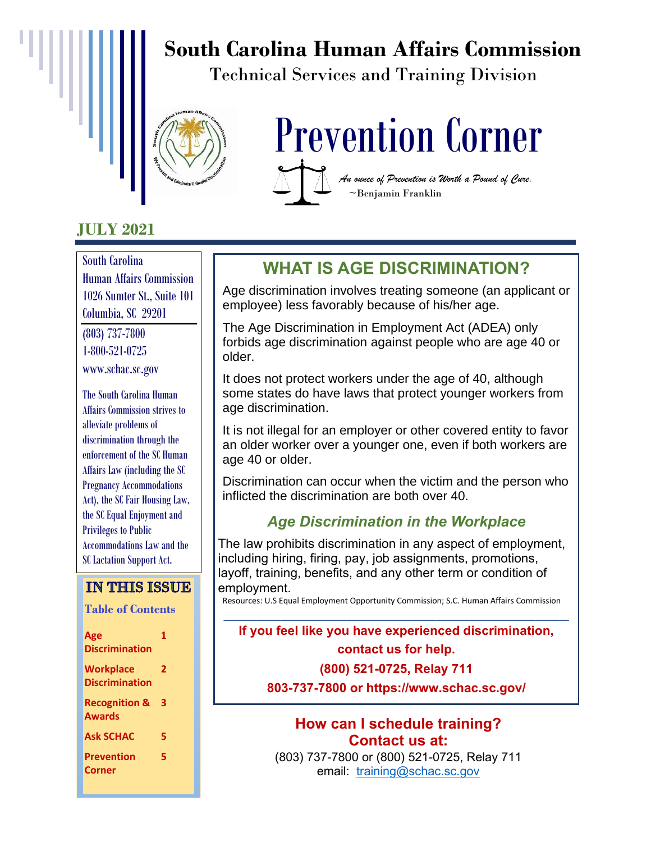# **South Carolina Human Affairs Commission**

Technical Services and Training Division



# **JULY 2021**

South Carolina Human Affairs Commission 1026 Sumter St., Suite 101 Columbia, SC 29201

(803) 737-7800 1-800-521-0725 www.schac.sc.gov

The South Carolina Human Affairs Commission strives to alleviate problems of discrimination through the enforcement of the SC Human Affairs Law (including the SC Pregnancy Accommodations Act), the SC Fair Housing Law, the SC Equal Enjoyment and Privileges to Public Accommodations Law and the SC Lactation Support Act.

### **IN THIS ISSUE**

 **Table of Contents**

| Age<br><b>Discrimination</b>              | 1 |
|-------------------------------------------|---|
| <b>Workplace</b><br><b>Discrimination</b> | 2 |
| <b>Recognition &amp;</b><br><b>Awards</b> | 3 |
| <b>Ask SCHAC</b>                          | 5 |
| <b>Prevention</b><br>Corner               | 5 |



**WHAT IS AGE DISCRIMINATION?**

Age discrimination involves treating someone (an applicant or employee) less favorably because of his/her age.

The Age Discrimination in Employment Act (ADEA) only forbids age discrimination against people who are age 40 or older.

It does not protect workers under the age of 40, although some states do have laws that protect younger workers from age discrimination.

It is not illegal for an employer or other covered entity to favor an older worker over a younger one, even if both workers are age 40 or older.

Discrimination can occur when the victim and the person who inflicted the discrimination are both over 40.

### *Age Discrimination in the Workplace*

The law prohibits discrimination in any aspect of employment, including hiring, firing, pay, job assignments, promotions, layoff, training, benefits, and any other term or condition of employment.

Resources: U.S Equal Employment Opportunity Commission; S.C. Human Affairs Commission **\_\_\_\_\_\_\_\_\_\_\_\_\_\_\_\_\_\_\_\_\_\_\_\_\_\_\_\_\_\_\_\_\_\_\_\_\_\_\_\_\_\_\_\_\_\_\_\_\_\_\_\_\_\_\_\_\_\_\_\_\_\_\_\_\_\_\_\_\_\_\_\_\_**

### **If you feel like you have experienced discrimination, contact us for help. (800) 521-0725, Relay 711**

**803-737-7800 or https://www.schac.sc.gov/**

#### **How can I schedule training? Contact us at:**

(803) 737-7800 or (800) 521-0725, Relay 711 email: [training@schac.sc.gov](mailto:training@schac.sc.gov)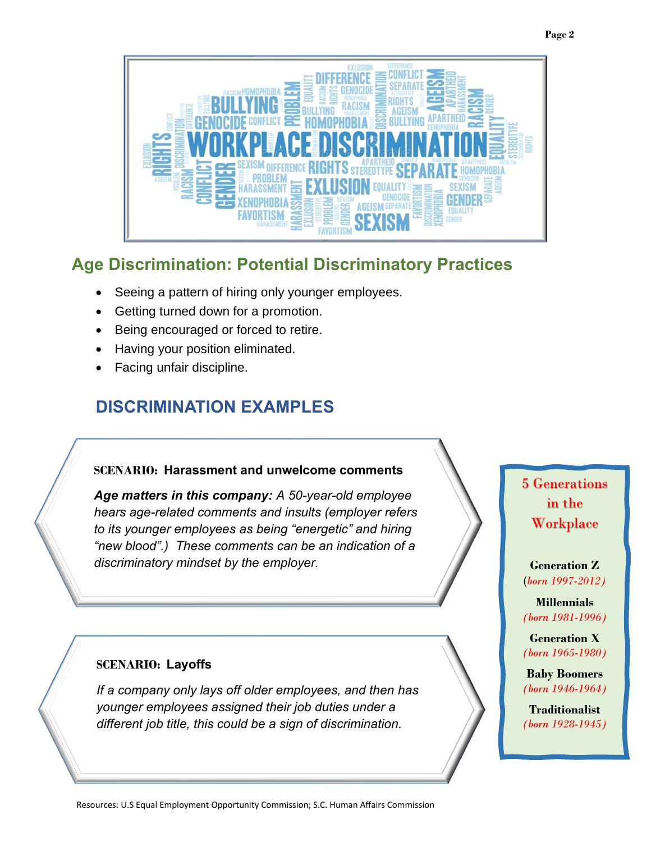

# **Age Discrimination: Potential Discriminatory Practices**

- Seeing a pattern of hiring only younger employees.
- Getting turned down for a promotion.
- Being encouraged or forced to retire.
- Having your position eliminated.
- Facing unfair discipline.

# **DISCRIMINATION EXAMPLES**

#### **SCENARIO: Harassment and unwelcome comments**

*Age matters in this company: A 50-year-old employee hears age-related comments and insults (employer refers to its younger employees as being "energetic" and hiring "new blood".) These comments can be an indication of a discriminatory mindset by the employer.* 

#### **SCENARIO: Layoffs**

*If a company only lays off older employees, and then has younger employees assigned their job duties under a different job title, this could be a sign of discrimination.*

### 5 Generations in the **Workplace**

**Generation Z** (*born 1997-2012)*

**Millennials**  *(born 1981-1996)*

**Generation X** *(born 1965-1980)*

**Baby Boomers** *(born 1946-1964)*

**Traditionalist** *(born 1928-1945)*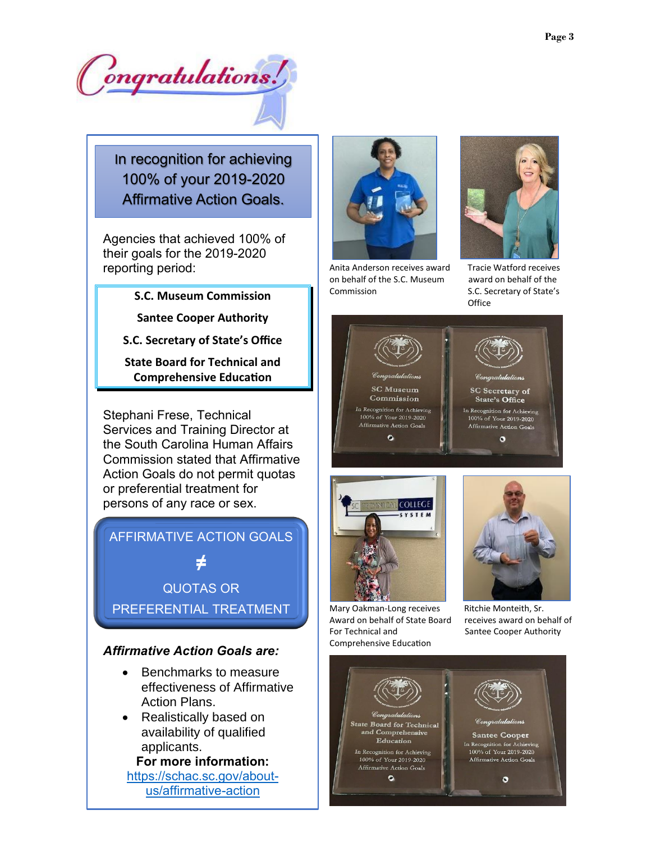Congratulations!

In recognition for achieving 100% of your 2019-2020 Affirmative Action Goals.

Agencies that achieved 100% of their goals for the 2019-2020 reporting period:

#### **S.C. Museum Commission**

**Santee Cooper Authority**

**S.C. Secretary of State's Office**

**State Board for Technical and Comprehensive Education**

Stephani Frese, Technical Services and Training Director at the South Carolina Human Affairs Commission stated that Affirmative Action Goals do not permit quotas or preferential treatment for persons of any race or sex.



#### *Affirmative Action Goals are:*

- Benchmarks to measure effectiveness of Affirmative Action Plans.
- Realistically based on availability of qualified applicants.

**For more information:**

[https://schac.sc.gov/about](https://schac.sc.gov/about-us/affirmative-action)[us/affirmative-action](https://schac.sc.gov/about-us/affirmative-action)



Anita Anderson receives award Tracie Watford receives on behalf of the S.C. Museum award on behalf of the Commission S.C. Secretary of State's



**Office** 





Mary Oakman-Long receives Ritchie Monteith, Sr. Award on behalf of State Board receives award on behalf of For Technical and Santee Cooper Authority Comprehensive Education

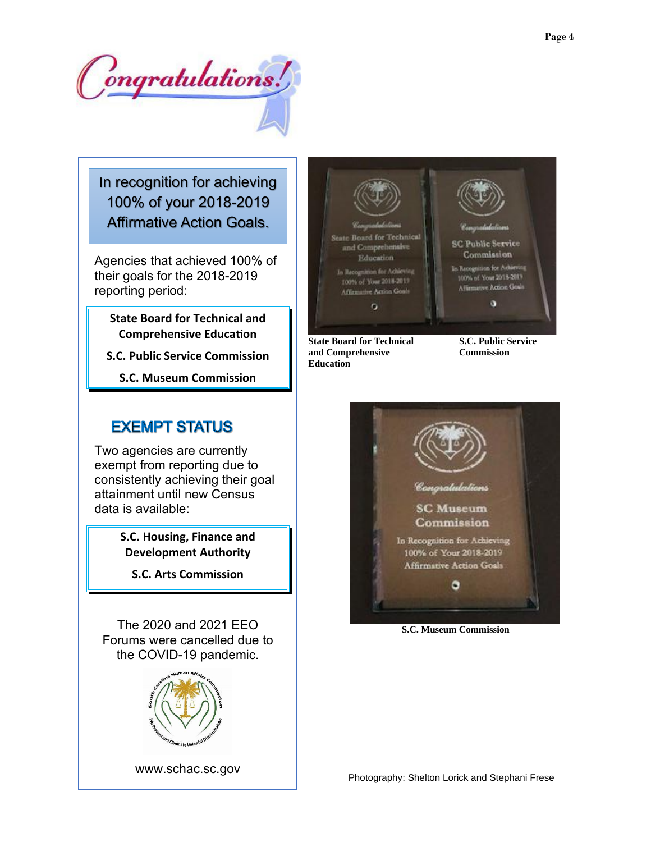Congratulations!

In recognition for achieving 100% of your 2018-2019 Affirmative Action Goals.

Agencies that achieved 100% of their goals for the 2018-2019 reporting period:

**State Board for Technical and Comprehensive Education**

**S.C. Public Service Commission**

**S.C. Museum Commission**

### **EXEMPT STATUS**

Two agencies are currently exempt from reporting due to consistently achieving their goal attainment until new Census data is available:

> **S.C. Housing, Finance and Development Authority**

**S.C. Arts Commission**

The 2020 and 2021 EEO Forums were cancelled due to the COVID-19 pandemic.







**State Board for Technical S.C. Public Service and Comprehensive Commission Education**



 **S.C. Museum Commission**

Photography: Shelton Lorick and Stephani Frese